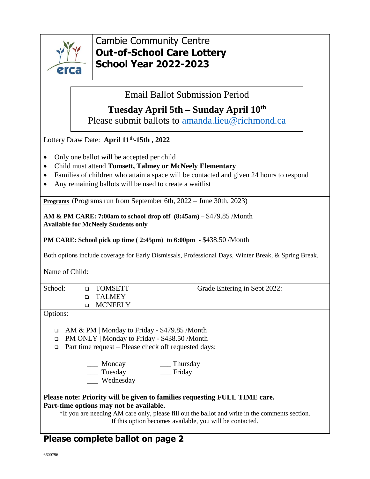

## Cambie Community Centre **Out-of-School Care Lottery School Year 2022-2023**

Email Ballot Submission Period

## **Tuesday April 5th – Sunday April 10th**

Please submit ballots to [amanda.lieu@richmond.ca](mailto:amanda.lieu@richmond.ca)

Lottery Draw Date: **April 11th -15th , 2022**

- Only one ballot will be accepted per child
- Child must attend **Tomsett, Talmey or McNeely Elementary**
- Families of children who attain a space will be contacted and given 24 hours to respond
- Any remaining ballots will be used to create a waitlist

**Programs** (Programs run from September 6th, 2022 – June 30th, 2023)

**AM & PM CARE: 7:00am to school drop off (8:45am) –** \$479.85 /Month **Available for McNeely Students only**

**PM CARE: School pick up time ( 2:45pm) to 6:00pm -** \$438.50 /Month

Both options include coverage for Early Dismissals, Professional Days, Winter Break, & Spring Break.

Name of Child:

| School: | □ TOMSETT<br>n TALMEY | Grade Entering in Sept 2022: |
|---------|-----------------------|------------------------------|
|         | MCNEELY               |                              |
| ___     |                       |                              |

Options:

- AM & PM | Monday to Friday \$479.85 /Month
- PM ONLY | Monday to Friday \$438.50 /Month
- $\Box$  Part time request Please check off requested days:
	- \_\_\_ Monday \_\_\_ Thursday \_\_\_ Tuesday \_\_\_ Friday
	- Wednesday
- **Please note: Priority will be given to families requesting FULL TIME care. Part-time options may not be available.**

\*If you are needing AM care only, please fill out the ballot and write in the comments section. If this option becomes available, you will be contacted.

## **Please complete ballot on page 2**